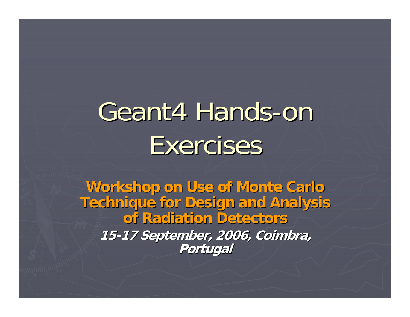# Geant4 Hands-on Exercises

**Workshop on Use of Monte Carlo Workshop on Use of Monte Carlo Technique for Design and Analysis of Radiation Detectors of Radiation Detectors 15 -17 September, 2006, Coimbra, 17 September, 2006, Coimbra, Portugal Portugal**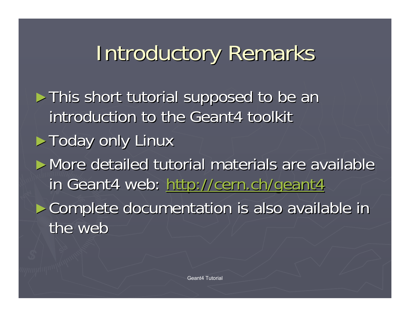## Introductory Remarks

► This short tutorial supposed to be an introduction to the Geant4 toolkit  $\blacktriangleright$  Today only Linux ► More detailed tutorial materials are available inGeant4 web:<http://cern.ch/geant4> ► Complete documentation is also available in the web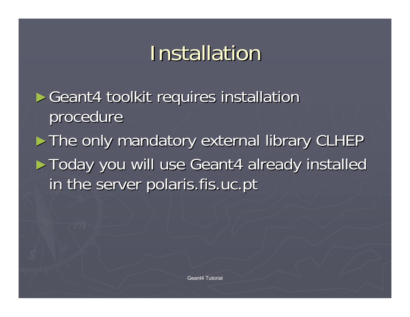## Installation

► Geant4 toolkit requires installation procedure

► The only mandatory external library CLHEP ► Today you will use Geant4 already installed in the server polaris.fis.uc.pt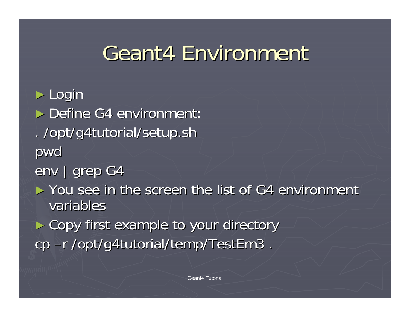## Geant4 Environment

► Login

► Define G4 environment . /opt/g4tutorial/setup.sh . /opt/g4tutorial/setup.sh pwd

env | grep G4

 $\blacktriangleright$  You see in the screen the list of G4 environment variables

► Copy first example to your directory cp –r /opt/g4tutorial/temp/TestEm3.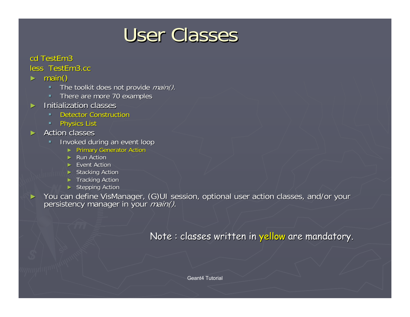### User Classes

### cd TestEm3

#### less TestEm3.cc

- ► main()
	- $\blacksquare$ The toolkit does not provide  $main()$ .
	- $\blacksquare$ There are more 70 examples
- ► Initialization classes Initialization classes
	- $\blacksquare$ **Detector Construction**
	- $\blacksquare$ **Physics List**
- $\blacktriangleright$  Action classes
	- $\mathbf{R} \in \mathbb{R}^n$ Invoked during an event loop
		- ► Primary Generator Action
		- ► Run Action
		- ► Event Action
		- ► Stacking Action
		- ► Tracking Action
		- ► Stepping Action

►You can define VisManager, (G)UI session, optional user action classes, and/or your persistency manager in your *main()*.

Note : classes written in yellow are mandatory.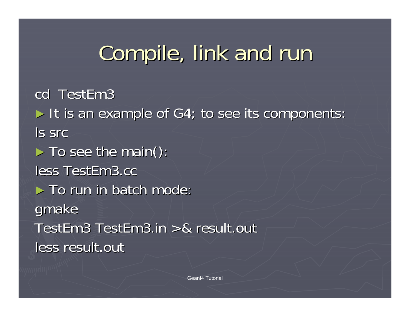# Compile, link and run

cd TestEm3

► It is an example of G4; to see its components: ls src

 $\blacktriangleright$  To see the main():

less TestEm3.cc

 $\blacktriangleright$  To run in batch mode:

gmake

TestEm3 TestEm3.in >& result.out less result.out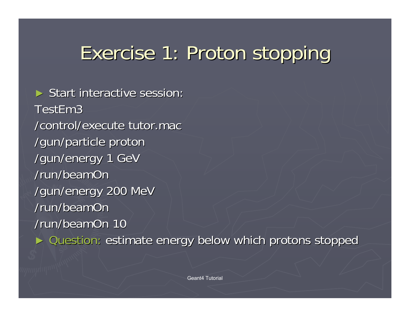## Exercise 1: Proton stopping Exercise 1: Proton stopping

 $\triangleright$  Start interactive session: TestEm3 /control/execute tutor.mac /gun/particle proton /gun/particle proton /gun/energy 1 GeV /run/beamOn/gun/energy 200 MeV /run/beamOn/run/beamOn 10 ► Question: estimate energy below which protons stopped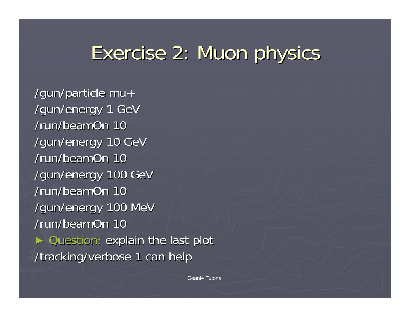## Exercise 2: Muon physics

/gun/particle  $mu+$ /gun/energy 1 GeV /run/beamOn 10 /gun/energy 10 GeV /run/beamOn 10 /gun/energy 100 GeV /run/beamOn 10 /gun/energy 100 MeV /run/beamOn 10 ► Question: explain the last plot /tracking/verbose 1 can help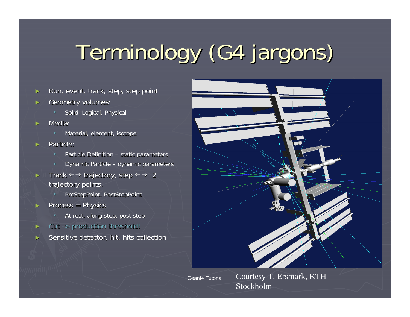# Terminology (G4 jargons) Terminology (G4 jargons)

- ►Run, event, track, step, step point
- ►Geometry volumes:
	- **Solid, Logical, Physical**
- ► Media:
	- Material, element, isotope
- ►Particle<sup>.</sup>
	- ¥. Particle Definition – static parameters
	- $\mathbf{u} \in \mathbb{R}^n$ Dynamic Particle – dynamic parameters
- ►**Track**  $\leftarrow$  **+ trajectory, step**  $\leftarrow$  **+ 2** trajectory points:
	- PreStepPoint, PostStepPoint
- ► $Process = Physics$ 
	- **At rest, along step, post step**, **end**
- ►Cut -> production threshold!
- ►Sensitive detector, hit, hits collection



Geant4 Tutorial

Courtesy T. Ersmark, KTH Stockholm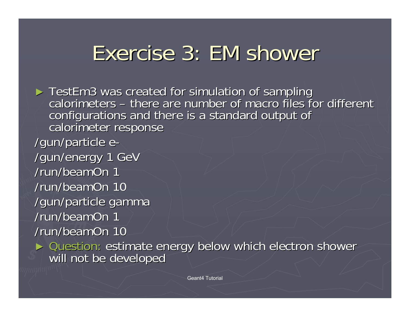## Exercise 3: EM shower

► TestEm3 was created for simulation of sampling calorimeters – there are number of macro files for different configurations and there is a standard output of calorimeter response /gun/particle e-/gun/energy 1 GeV /run/beamOn 1 /run/beamOn 10 /gun/particle gamma /gun/particle gamma /run/beamOn 1 /run/beamOn 10

► Question: estimate energy below which electron shower<br>will not be developed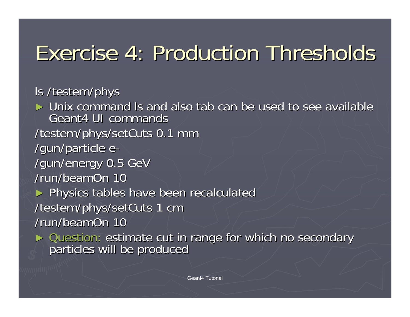## Exercise 4: Production Thresholds Exercise 4: Production Thresholds

ls /testem/phys

 $\blacktriangleright$  Unix command Is and also tab can be used to see available Geant4 UI commands Geant4 UI commands /testem/phys/setCuts 0.1 mm /gun/particle e-/gun/energy 0.5 GeV /run/beamOn 10 ► Physics tables have been recalculated /testem/phys/setCuts 1 cm /run/beamOn 10 ► Question: estimate cut in range for which no secondary particles will be produced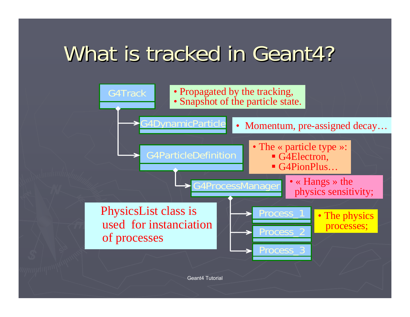## What is tracked in Geant4?

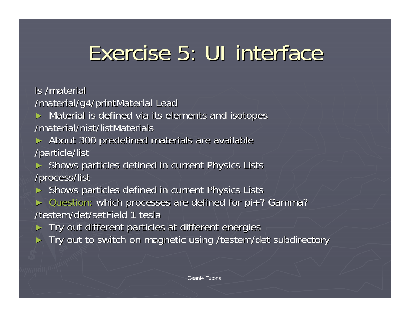## Exercise 5: UI interface

ls /material

/material/g4/printMaterial Lead

► Material is defined via its elements and isotopes /material/nist/listMaterials

► About 300 predefined materials are available /particle/list /particle/list

► Shows particles defined in current Physics Lists /process/list /process/list

► Shows particles defined in current Physics Lists

► Question: which processes are defined for pi+? Gamma? /testem/det/setField 1 tesla

► Try out different particles at different energies

► Try out to switch on magnetic using /testem/det subdirectory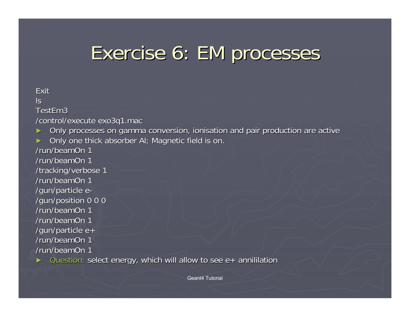### Exercise 6: EM processes

#### ExitlsTestEm3 /control/execute exo3q1.mac ►Only processes on gamma conversion, ionisation and pair production are active ►Only one thick absorber Al; Magnetic field is on. /run/beamOn 1 /run/beamOn 1 /tracking/verbose 1 /run/beamOn 1 /gun/particle e-/gun/position 0 0 0 /gun/position 0 0 0 /run/beamOn 1 /run/beamOn 1 /gun/particle  $e+$ /run/beamOn 1 /run/beamOn 1 ► Question: select energy, which will allow to see e+ annililation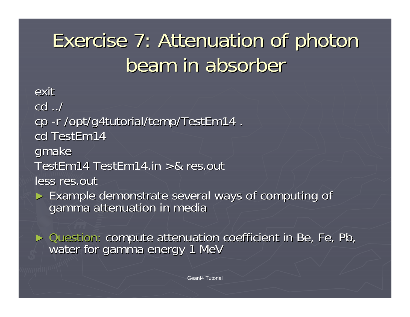## Exercise 7: Attenuation of photon Exercise 7: Attenuation of photon beam in absorber

exitcd ../ cp -r /opt/g4tutorial/temp/TestEm14. cd TestEm14 gmake TestEm14 TestEm14.in  $>8$  res.out less res.out ► Example demonstrate several ways of computing of gamma attenuation in media

► Question: compute attenuation coefficient in Be, Fe, Pb, water for gamma energy 1 MeV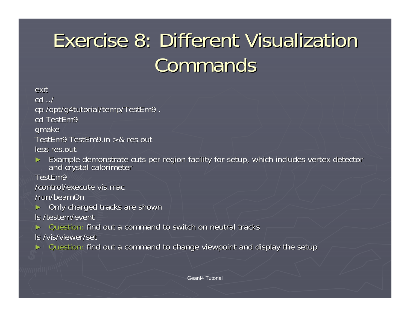## Exercise 8: Different Visualization Exercise 8: Different Visualization **Commands**

exitcd ../ cp /opt/g4tutorial/temp/TestEm9. cd TestEm9 gmake<sup>'</sup> TestEm9 TestEm9.in  $>8$  res.out less res.out

►Example demonstrate cuts per region facility for setup, which includes vertex detector and crystal calorimeter

TestEm9

/control/execute vis.mac

/run/beamOn

►Only charged tracks are shown

ls /testem/event

►Question: find out a command to switch on neutral tracks

ls /vis/viewer/set

► Question: find out a command to change viewpoint and display the setup